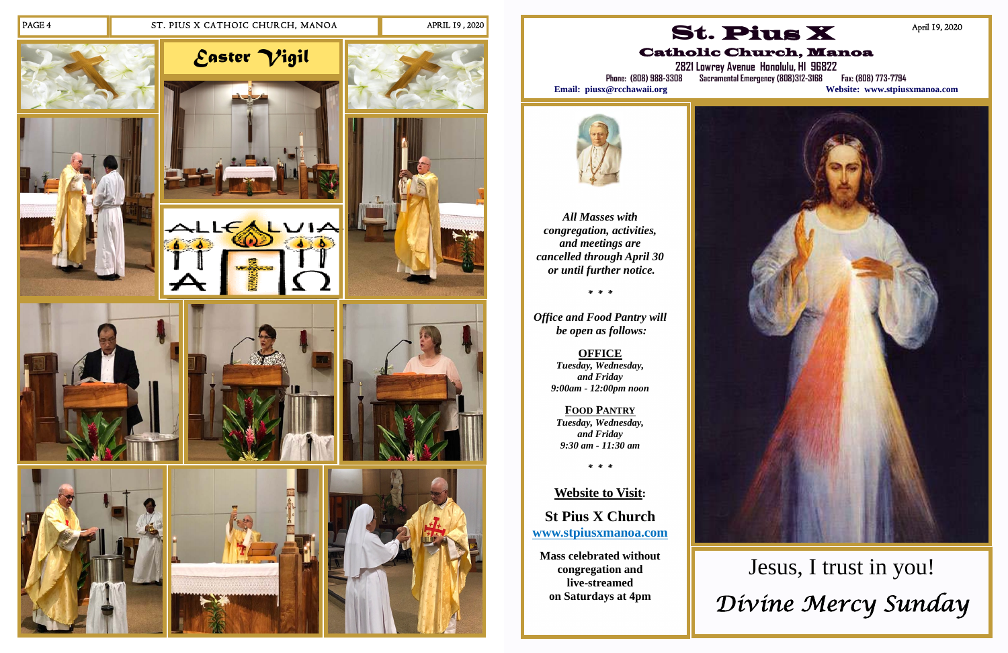#### PAGE 4 ST. PIUS X CATHOIC CHURCH, MANOA APRIL 19, 2020

















*All Masses with congregation, activities, and meetings are cancelled through April 30 or until further notice.* 

*\* \* \** 

*Office and Food Pantry will be open as follows:* 

> **OFFICE**  *Tuesday, Wednesday, and Friday 9:00am - 12:00pm noon*

**2821 Lowrey Avenue Honolulu, HI 96822 Phone: (808) 988-3308 Sacramental Emergency (808)312-3168 Fax: (808) 773-7794**  Website: www.stpiusxmanoa.com



**FOOD PANTRY** *Tuesday, Wednesday, and Friday 9:30 am - 11:30 am* 

*\* \* \** 

**Website to Visit:** 

**St Pius X Church www.stpiusxmanoa.com** 

**Mass celebrated without congregation and live-streamed on Saturdays at 4pm** 

# St. Pius X Catholic Church, Manoa





April 19, 2020

# Jesus, I trust in you! *Divine Mercy Sunday*